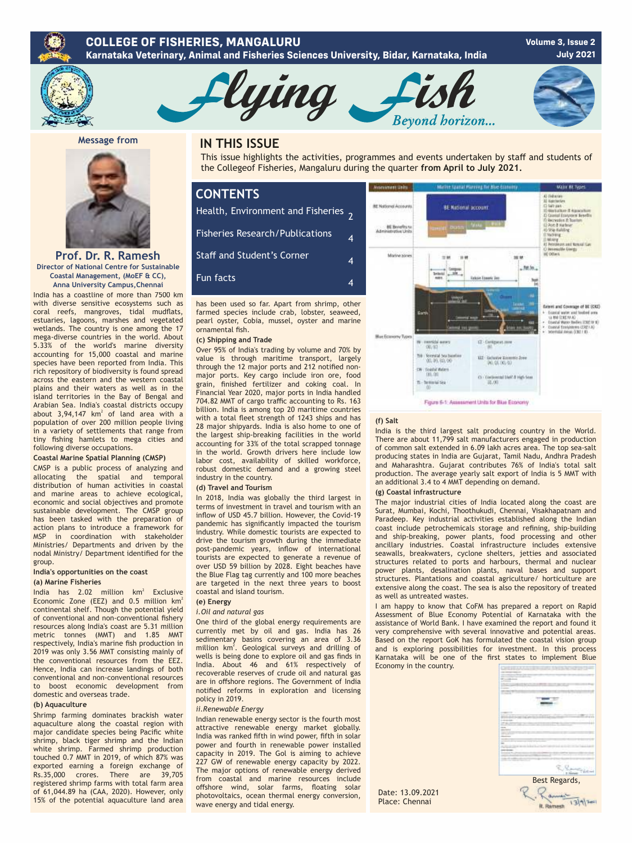



**Message from** 



**Prof. Dr. R. Ramesh Director of National Centre for Sustainable Coastal Management, (MoEF & CC), Anna University Campus,Chennai**

India has a coastline of more than 7500 km with diverse sensitive ecosystems such as coral reefs, mangroves, tidal mudflats, estuaries, lagoons, marshes and vegetated wetlands. The country is one among the 17 mega-diverse countries in the world. About 5.33% of the world's marine diversity accounting for 15,000 coastal and marine species have been reported from India. This rich repository of biodiversity is found spread across the eastern and the western coastal plains and their waters as well as in the island territories in the Bay of Bengal and Arabian Sea. India's coastal districts occupy about  $3,94,147$  km<sup>2</sup> of land area with a population of over 200 million people living in a variety of settlements that range from tiny fishing hamlets to mega cities and following diverse occupations.

### **Coastal Marine Spatial Planning (CMSP)**

CMSP is a public process of analyzing and<br>allocating the spatial and temporal the spatial and temporal distribution of human activities in coastal and marine areas to achieve ecological, economic and social objectives and promote sustainable development. The CMSP group has been tasked with the preparation of action plans to introduce a framework for MSP in coordination with stakeholder Ministries/ Departments and driven by the nodal Ministry/ Department identified for the group.

#### **India's opportunities on the coast (a) Marine Fisheries**

India has  $2.02$  million  $km^2$  Exclusive Economic Zone (EEZ) and  $0.5$  million  $km^2$ continental shelf. Though the potential yield of conventional and non-conventional fishery resources along India's coast are 5.31 million metric tonnes (MMT) and 1.85 MMT respectively, India's marine fish production in 2019 was only 3.56 MMT consisting mainly of the conventional resources from the EEZ. Hence, India can increase landings of both conventional and non-conventional resources to boost economic development from domestic and overseas trade.

#### **(b) Aquaculture**

Shrimp farming dominates brackish water aquaculture along the coastal region with major candidate species being Pacific white shrimp, black tiger shrimp and the Indian white shrimp. Farmed shrimp production touched 0.7 MMT in 2019, of which 87% was exported earning a foreign exchange of Rs.35,000 crores. There are 39,705 registered shrimp farms with total farm area of 61,044.89 ha (CAA, 2020). However, only 15% of the potential aquaculture land area

## **IN THIS ISSUE**

This issue highlights the activities, programmes and events undertaken by staff and students of the Collegeof Fisheries, Mangaluru during the quarter **from April to July 2021.**

Beyond horizon...

## **CONTENTS** Health, Environment and Fisheries 2 Fisheries Research/Publications Staff and Student's Corner Fun facts 4 4 4

-lying

has been used so far. Apart from shrimp, other farmed species include crab, lobster, seaweed, pearl oyster, Cobia, mussel, oyster and marine ornamental fish.

#### **(c) Shipping and Trade**

Over 95% of India's trading by volume and 70% by value is through maritime transport, largely through the 12 major ports and 212 notified nonmajor ports. Key cargo include iron ore, food grain, finished fertilizer and coking coal. In Financial Year 2020, major ports in India handled 704.82 MMT of cargo traffic accounting to Rs. 163 billion. India is among top 20 maritime countries with a total fleet strength of 1243 ships and has 28 major shipyards. India is also home to one of the largest ship-breaking facilities in the world accounting for 33% of the total scrapped tonnage in the world. Growth drivers here include low labor cost, availability of skilled workforce, robust domestic demand and a growing steel industry in the country.

#### **(d) Travel and Tourism**

In 2018, India was globally the third largest in terms of investment in travel and tourism with an inflow of USD 45.7 billion. However, the Covid-19 pandemic has significantly impacted the tourism industry. While domestic tourists are expected to drive the tourism growth during the immediate post-pandemic years, inflow of international tourists are expected to generate a revenue of over USD 59 billion by 2028. Eight beaches have the Blue Flag tag currently and 100 more beaches are targeted in the next three years to boost coastal and island tourism.

## **(e) Energy**

#### *i.Oil and natural gas*

One third of the global energy requirements are currently met by oil and gas. India has 26 sedimentary basins covering an area of 3.36 million km<sup>2</sup>. Geological surveys and drilling of wells is being done to explore oil and gas finds in India. About 46 and 61% respectively of recoverable reserves of crude oil and natural gas are in offshore regions. The Government of India notified reforms in exploration and licensing policy in 2019.

#### *ii.Renewable Energy*

Indian renewable energy sector is the fourth most attractive renewable energy market globally. India was ranked fifth in wind power, fifth in solar power and fourth in renewable power installed capacity in 2019. The Gol is aiming to achieve 227 GW of renewable energy capacity by 2022. The major options of renewable energy derived from coastal and marine resources include offshore wind, solar farms, floating solar photovoltaics, ocean thermal energy conversion, wave energy and tidal energy.



#### **(f) Salt**

India is the third largest salt producing country in the World. There are about 11,799 salt manufacturers engaged in production of common salt extended in 6.09 lakh acres area. The top sea-salt producing states in India are Gujarat, Tamil Nadu, Andhra Pradesh and Maharashtra. Gujarat contributes 76% of India's total salt production. The average yearly salt export of India is 5 MMT with an additional 3.4 to 4 MMT depending on demand.

### **(g) Coastal infrastructure**

The major industrial cities of India located along the coast are Surat, Mumbai, Kochi, Thoothukudi, Chennai, Visakhapatnam and Paradeep. Key industrial activities established along the Indian coast include petrochemicals storage and refining, ship-building and ship-breaking, power plants, food processing and other ancillary industries. Coastal infrastructure includes extensive seawalls, breakwaters, cyclone shelters, jetties and associated structures related to ports and harbours, thermal and nuclear power plants, desalination plants, naval bases and support structures. Plantations and coastal agriculture/ horticulture are extensive along the coast. The sea is also the repository of treated as well as untreated wastes.

I am happy to know that CoFM has prepared a report on Rapid Assessment of Blue Economy Potential of Karnataka with the assistance of World Bank. I have examined the report and found it very comprehensive with several innovative and potential areas. Based on the report GoK has formulated the coastal vision group and is exploring possibilities for investment. In this process Karnataka will be one of the first states to implement Blue Economy in the country.



 $13|4|$  2mil

Date: 13.09.2021 Place: Chennai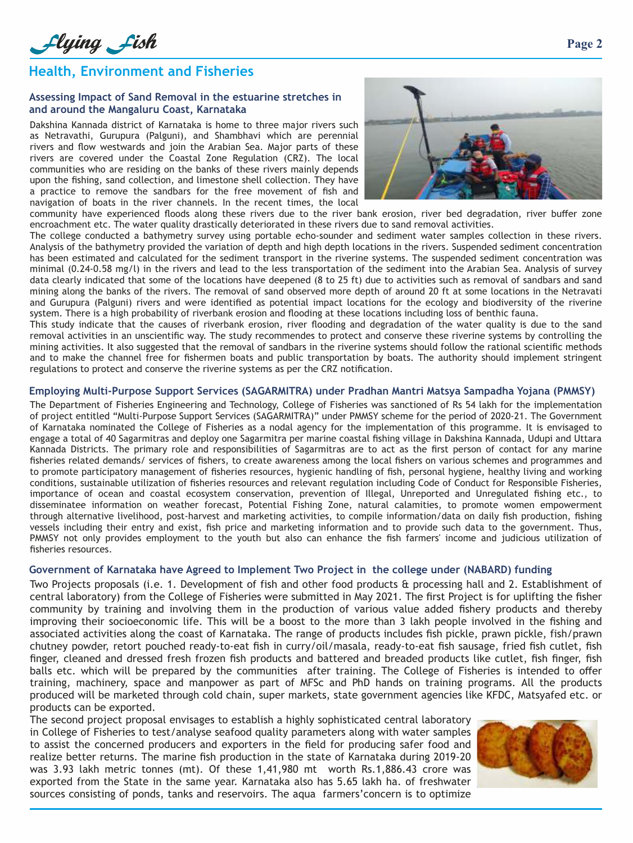# **Health, Environment and Fisheries**

## **Assessing Impact of Sand Removal in the estuarine stretches in and around the Mangaluru Coast, Karnataka**

Dakshina Kannada district of Karnataka is home to three major rivers such as Netravathi, Gurupura (Palguni), and Shambhavi which are perennial rivers and flow westwards and join the Arabian Sea. Major parts of these rivers are covered under the Coastal Zone Regulation (CRZ). The local communities who are residing on the banks of these rivers mainly depends upon the fishing, sand collection, and limestone shell collection. They have a practice to remove the sandbars for the free movement of fish and navigation of boats in the river channels. In the recent times, the local



community have experienced floods along these rivers due to the river bank erosion, river bed degradation, river buffer zone encroachment etc. The water quality drastically deteriorated in these rivers due to sand removal activities.

The college conducted a bathymetry survey using portable echo-sounder and sediment water samples collection in these rivers. Analysis of the bathymetry provided the variation of depth and high depth locations in the rivers. Suspended sediment concentration has been estimated and calculated for the sediment transport in the riverine systems. The suspended sediment concentration was minimal (0.24-0.58 mg/l) in the rivers and lead to the less transportation of the sediment into the Arabian Sea. Analysis of survey data clearly indicated that some of the locations have deepened (8 to 25 ft) due to activities such as removal of sandbars and sand mining along the banks of the rivers. The removal of sand observed more depth of around 20 ft at some locations in the Netravati and Gurupura (Palguni) rivers and were identified as potential impact locations for the ecology and biodiversity of the riverine system. There is a high probability of riverbank erosion and flooding at these locations including loss of benthic fauna.

This study indicate that the causes of riverbank erosion, river flooding and degradation of the water quality is due to the sand removal activities in an unscientific way. The study recommendes to protect and conserve these riverine systems by controlling the mining activities. It also suggested that the removal of sandbars in the riverine systems should follow the rational scientific methods and to make the channel free for fishermen boats and public transportation by boats. The authority should implement stringent regulations to protect and conserve the riverine systems as per the CRZ notification.

## **Employing Multi-Purpose Support Services (SAGARMITRA) under Pradhan Mantri Matsya Sampadha Yojana (PMMSY)**

The Department of Fisheries Engineering and Technology, College of Fisheries was sanctioned of Rs 54 lakh for the implementation of project entitled "Multi-Purpose Support Services (SAGARMITRA)" under PMMSY scheme for the period of 2020-21. The Government of Karnataka nominated the College of Fisheries as a nodal agency for the implementation of this programme. It is envisaged to engage a total of 40 Sagarmitras and deploy one Sagarmitra per marine coastal fishing village in Dakshina Kannada, Udupi and Uttara Kannada Districts. The primary role and responsibilities of Sagarmitras are to act as the first person of contact for any marine fisheries related demands/ services of fishers, to create awareness among the local fishers on various schemes and programmes and to promote participatory management of fisheries resources, hygienic handling of fish, personal hygiene, healthy living and working conditions, sustainable utilization of fisheries resources and relevant regulation including Code of Conduct for Responsible Fisheries, importance of ocean and coastal ecosystem conservation, prevention of Illegal, Unreported and Unregulated fishing etc., to disseminatee information on weather forecast, Potential Fishing Zone, natural calamities, to promote women empowerment through alternative livelihood, post-harvest and marketing activities, to compile information/data on daily fish production, fishing vessels including their entry and exist, fish price and marketing information and to provide such data to the government. Thus, PMMSY not only provides employment to the youth but also can enhance the fish farmers' income and judicious utilization of fisheries resources.

## **Government of Karnataka have Agreed to Implement Two Project in the college under (NABARD) funding**

Two Projects proposals (i.e. 1. Development of fish and other food products & processing hall and 2. Establishment of central laboratory) from the College of Fisheries were submitted in May 2021. The first Project is for uplifting the fisher community by training and involving them in the production of various value added fishery products and thereby improving their socioeconomic life. This will be a boost to the more than 3 lakh people involved in the fishing and associated activities along the coast of Karnataka. The range of products includes fish pickle, prawn pickle, fish/prawn chutney powder, retort pouched ready-to-eat fish in curry/oil/masala, ready-to-eat fish sausage, fried fish cutlet, fish finger, cleaned and dressed fresh frozen fish products and battered and breaded products like cutlet, fish finger, fish balls etc. which will be prepared by the communities after training. The College of Fisheries is intended to offer training, machinery, space and manpower as part of MFSc and PhD hands on training programs. All the products produced will be marketed through cold chain, super markets, state government agencies like KFDC, Matsyafed etc. or products can be exported.

The second project proposal envisages to establish a highly sophisticated central laboratory in College of Fisheries to test/analyse seafood quality parameters along with water samples to assist the concerned producers and exporters in the field for producing safer food and realize better returns. The marine fish production in the state of Karnataka during 2019-20 was 3.93 lakh metric tonnes (mt). Of these 1,41,980 mt worth Rs.1,886.43 crore was exported from the State in the same year. Karnataka also has 5.65 lakh ha. of freshwater sources consisting of ponds, tanks and reservoirs. The aqua farmers'concern is to optimize

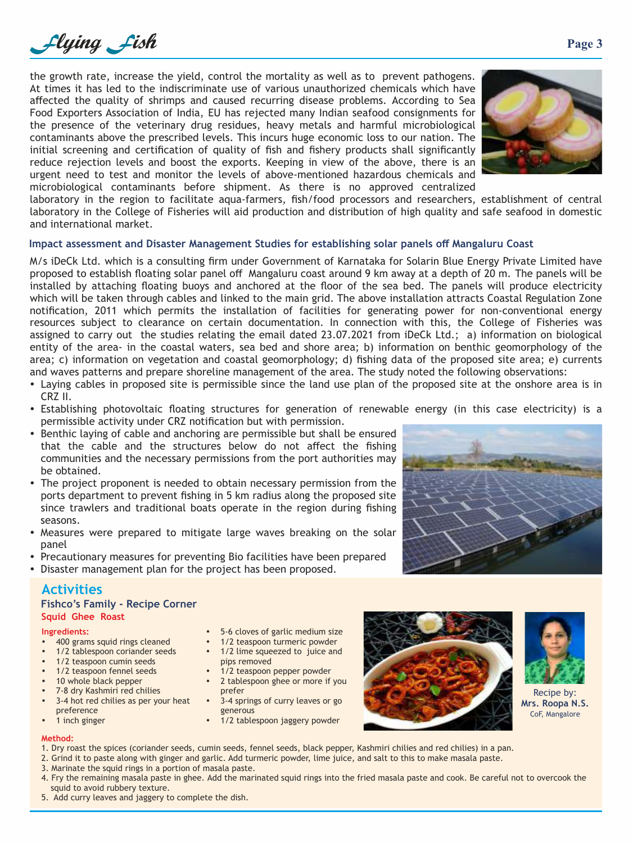

the growth rate, increase the yield, control the mortality as well as to prevent pathogens. At times it has led to the indiscriminate use of various unauthorized chemicals which have affected the quality of shrimps and caused recurring disease problems. According to Sea Food Exporters Association of India, EU has rejected many Indian seafood consignments for the presence of the veterinary drug residues, heavy metals and harmful microbiological contaminants above the prescribed levels. This incurs huge economic loss to our nation. The initial screening and certification of quality of fish and fishery products shall significantly reduce rejection levels and boost the exports. Keeping in view of the above, there is an urgent need to test and monitor the levels of above-mentioned hazardous chemicals and microbiological contaminants before shipment. As there is no approved centralized



laboratory in the region to facilitate aqua-farmers, fish/food processors and researchers, establishment of central laboratory in the College of Fisheries will aid production and distribution of high quality and safe seafood in domestic and international market.

## **Impact assessment and Disaster Management Studies for establishing solar panels off Mangaluru Coast**

M/s iDeCk Ltd. which is a consulting firm under Government of Karnataka for Solarin Blue Energy Private Limited have proposed to establish floating solar panel off Mangaluru coast around 9 km away at a depth of 20 m. The panels will be installed by attaching floating buoys and anchored at the floor of the sea bed. The panels will produce electricity which will be taken through cables and linked to the main grid. The above installation attracts Coastal Regulation Zone notification, 2011 which permits the installation of facilities for generating power for non-conventional energy resources subject to clearance on certain documentation. In connection with this, the College of Fisheries was assigned to carry out the studies relating the email dated 23.07.2021 from iDeCk Ltd.; a) information on biological entity of the area- in the coastal waters, sea bed and shore area; b) information on benthic geomorphology of the area; c) information on vegetation and coastal geomorphology; d) fishing data of the proposed site area; e) currents and waves patterns and prepare shoreline management of the area. The study noted the following observations:

- Laying cables in proposed site is permissible since the land use plan of the proposed site at the onshore area is in CRZ II.
- Establishing photovoltaic floating structures for generation of renewable energy (in this case electricity) is a permissible activity under CRZ notification but with permission.
- Benthic laying of cable and anchoring are permissible but shall be ensured that the cable and the structures below do not affect the fishing communities and the necessary permissions from the port authorities may be obtained.
- The project proponent is needed to obtain necessary permission from the ports department to prevent fishing in 5 km radius along the proposed site since trawlers and traditional boats operate in the region during fishing seasons.
- Measures were prepared to mitigate large waves breaking on the solar panel
- Precautionary measures for preventing Bio facilities have been prepared
- Disaster management plan for the project has been proposed.

## **Activities**

| <b>Fishco's Family - Recipe Corner</b> |  |  |
|----------------------------------------|--|--|
| Squid Ghee Roast                       |  |  |

## **Ingredients:**

- 400 grams squid rings cleaned
- 1/2 tablespoon coriander seeds
- 1/2 teaspoon cumin seeds
- 1/2 teaspoon fennel seeds
- 10 whole black pepper
- 7-8 dry Kashmiri red chilies
- 3-4 hot red chilies as per your heat preference
- 1 inch ginger

## **Method:**

pips removed

- 1. Dry roast the spices (coriander seeds, cumin seeds, fennel seeds, black pepper, Kashmiri chilies and red chilies) in a pan.
- 2. Grind it to paste along with ginger and garlic. Add turmeric powder, lime juice, and salt to this to make masala paste. 3. Marinate the squid rings in a portion of masala paste.
- 4. Fry the remaining masala paste in ghee. Add the marinated squid rings into the fried masala paste and cook. Be careful not to overcook the squid to avoid rubbery texture.
- 







Recipe by: **Mrs. Roopa N.S.** CoF, Mangalore

5. Add curry leaves and jaggery to complete the dish.

1/2 teaspoon pepper powder 2 tablespoon ghee or more if you prefer

5-6 cloves of garlic medium size 1/2 teaspoon turmeric powder 1/2 lime squeezed to juice and

- 3-4 springs of curry leaves or go generous
- 1/2 tablespoon jaggery powder